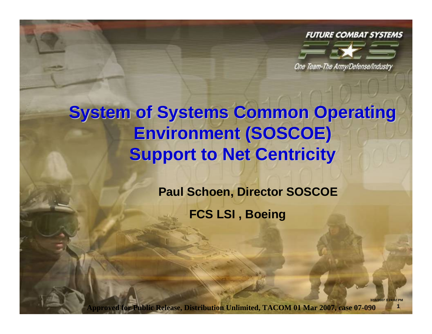

**1**

**3/16/2007 3:24:02 PM**

One Team-The Army/Defense/Industry

# **System of Systems Common Operating Environment (SOSCOE) Environment (SOSCOE) Support to Net Centricity**

**Paul Schoen, Director SOSCOE FCS LSI , Boeing**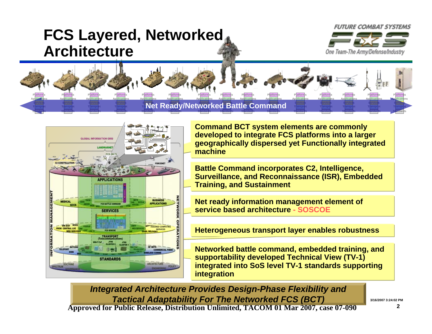### **FCS Layered, Networked Architecture**



**Standards**

**Standards**

**Transport ServicesApplications PlatformsTransport Applications PlatformsTransport Applications PlatformsTransport ServicesApplications PlatformsNet Ready/Networked Battle Command Applications PlatformsApplications PlatformsApplications PlatformsApplications PlatformsApplications PlatformsTransport ServicesApplications PlatformsTransport ServicesApplications PlatformsTransport ServicesApplications PlatformsTransport ServicesApplications PlatformsTransport ServicesApplications PlatformsApplications Platforms**

**Standards**

**Standards**

**Standards**



**Command BCT system elements are commonly developed to integrate FCS platforms into a larger geographically dispersed yet Functionally integrated machine**

**Standards**

**Standards**

**Standards**

**Standards**

**Battle Command incorporates C2, Intelligence, Surveillance, and Reconnaissance (ISR), Embedded Training, and Sustainment**

**Net ready information management element of service based architecture - SOSCOE**

**Heterogeneous transport layer enables robustness**

**Networked battle command, embedded training, and supportability developed Technical View (TV-1) integrated into SoS level TV-1 standards supporting integration**

*Integrated Architecture Provides Design-Phase Flexibility and Tactical Adaptability For The Networked FCS (BCT)*  **Approved for Public Release, Distribution Unlimited, TACOM 01 Mar 2007, case 07-090** 

**3/16/2007 3:24:02 PM**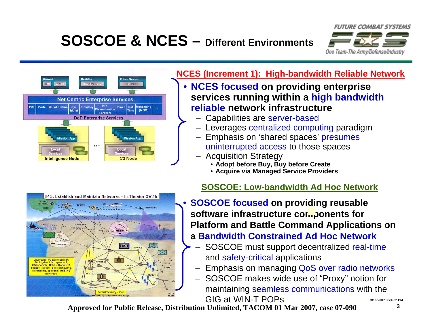# **SOSCOE & NCES – Different Environments**





#### **NCES (Increment 1): High-bandwidth Reliable Network**

- • **NCES focused on providing enterprise services running within a high bandwidth reliable network infrastructure**
	- Capabilities are server-based
	- Leverages centralized computing paradigm
	- Emphasis on 'shared spaces' presumes uninterrupted access to those spaces
	- Acquisition Strategy
		- **Adopt before Buy, Buy before Create**
		- **Acquire via Managed Service Providers**



#### **SOSCOE: Low-bandwidth Ad Hoc Network**

- • **SOSCOE focused on providing reusable**  software infrastructure con...ponents for **Platform and Battle Command Applications on a Bandwidth Constrained Ad Hoc Network**
	- – SOSCOE must support decentralized real-time and safety-critical applications
		- –Emphasis on managing QoS over radio networks
		- – SOSCOE makes wide use of "Proxy" notion for maintaining seamless communications with the GIG at WIN-T POPs

**Approved for Public Release, Distribution Unlimited, TACOM 01 Mar 2007, case 07-090** 

**3**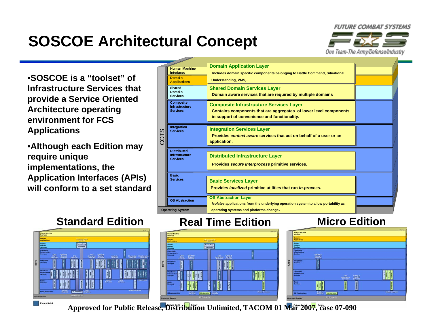# **SOSCOE Architectural Concept**

**FUTURE COMBAT SYSTEMS** 



•**SOSCOE is a "toolset" of Infrastructure Services that provide a Service Oriented Architecture operating environment for FCS Applications**

•**Although each Edition may require unique implementations, the Application Interfaces (APIs) will conform to a set standard**





### **Real Time Edition**



### **Micro Edition**



**4**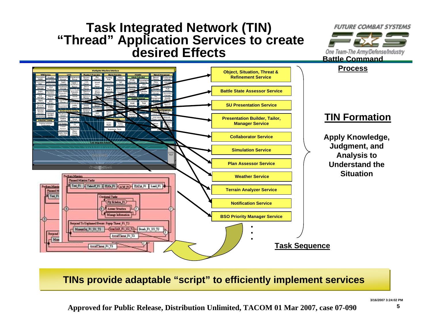### **Task Integrated Network (TIN) "Thread" Application Services to create desired Effects**

**Warfichter Machine Interfac** 

**Object, Situation, Threat & Refinement Service**

**Battle State Assessor Service**

**SU Presentation Service**

**Presentation Builder, Tailor, Manager Service**

**Collaborator Service**

**Simulation Service**

**Plan Assessor Service**





#### **TIN Formation**

**Apply Knowledge, Judgment, and Analysis to Understand the Situation**



#### **TINs provide adaptable "script" to efficiently implement services**

**3/16/2007 3:24:02 PM**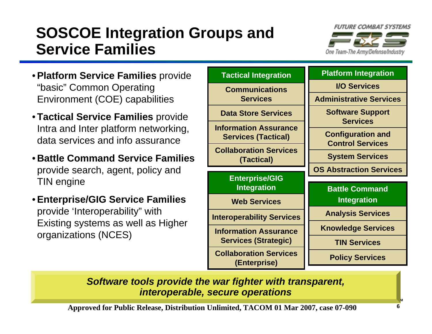## **SOSCOE Integration Groups and Service Families**



- •**Platform Service Families** provide "basic" Common Operating Environment (COE) capabilities
- **Tactical Service Families** provide Intra and Inter platform networking, data services and info assurance
- **Battle Command Service Families**  provide search, agent, policy and TIN engine
- •**Enterprise/GIG Service Families**  provide 'Interoperability" with Existing systems as well as Higher organizations (NCES)



*Software tools provide the war fighter with transparent, interoperable, secure operations*

**Approved for Public Release, Distribution Unlimited, TACOM 01 Mar 2007, case 07-090** 

**3/16/2007 3:24:02 PM**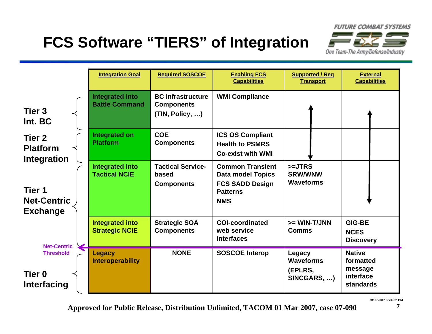# **FCS Software "TIERS" of Integration**



|                                                      | <b>Integration Goal</b>                         | <b>Required SOSCOE</b>                                           | <b>Enabling FCS</b><br><b>Capabilities</b>                                                                     | <b>Supported / Req</b><br><b>Transport</b>           | <b>External</b><br><b>Capabilities</b>                                 |
|------------------------------------------------------|-------------------------------------------------|------------------------------------------------------------------|----------------------------------------------------------------------------------------------------------------|------------------------------------------------------|------------------------------------------------------------------------|
| Tier <sub>3</sub><br>Int. BC                         | <b>Integrated into</b><br><b>Battle Command</b> | <b>BC Infrastructure</b><br><b>Components</b><br>(TIN, Policy, ) | <b>WMI Compliance</b>                                                                                          |                                                      |                                                                        |
| Tier 2<br><b>Platform</b><br>Integration             | <b>Integrated on</b><br><b>Platform</b>         | <b>COE</b><br><b>Components</b>                                  | <b>ICS OS Compliant</b><br><b>Health to PSMRS</b><br><b>Co-exist with WMI</b>                                  |                                                      |                                                                        |
| Tier 1<br><b>Net-Centric</b><br><b>Exchange</b>      | <b>Integrated into</b><br><b>Tactical NCIE</b>  | <b>Tactical Service-</b><br>based<br><b>Components</b>           | <b>Common Transient</b><br><b>Data model Topics</b><br><b>FCS SADD Design</b><br><b>Patterns</b><br><b>NMS</b> | $>=JTRS$<br><b>SRW/WNW</b><br><b>Waveforms</b>       |                                                                        |
| <b>Net-Centric</b>                                   | <b>Integrated into</b><br><b>Strategic NCIE</b> | <b>Strategic SOA</b><br><b>Components</b>                        | <b>COI-coordinated</b><br>web service<br>interfaces                                                            | >= WIN-T/JNN<br><b>Comms</b>                         | <b>GIG-BE</b><br><b>NCES</b><br><b>Discovery</b>                       |
| <b>Threshold</b><br>Tier <sub>0</sub><br>Interfacing | <b>Legacy</b><br><b>Interoperability</b>        | <b>NONE</b>                                                      | <b>SOSCOE Interop</b>                                                                                          | Legacy<br><b>Waveforms</b><br>(EPLRS,<br>SINCGARS, ) | <b>Native</b><br>formatted<br>message<br>interface<br><b>standards</b> |

**3/16/2007 3:24:02 PM**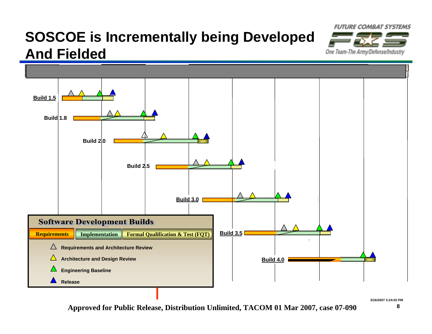## **SOSCOE is Incrementally being Developed And Fielded**



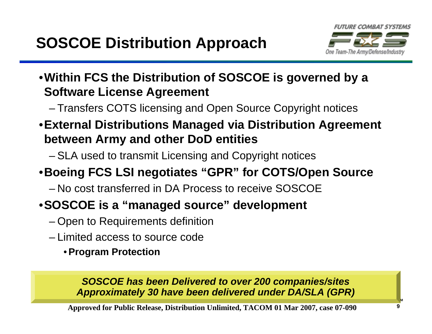

- •**Within FCS the Distribution of SOSCOE is governed by a Software License Agreement**
	- –Transfers COTS licensing and Open Source Copyright notices
- •**External Distributions Managed via Distribution Agreement between Army and other DoD entities**
	- –SLA used to transmit Licensing and Copyright notices

### •**Boeing FCS LSI negotiates "GPR" for COTS/Open Source**

– No cost transferred in DA Process to receive SOSCOE

### •**SOSCOE is a "managed source" development**

- –Open to Requirements definition
- Limited access to source code
	- •**Program Protection**

#### *SOSCOE has been Delivered to over 200 companies/sites Approximately 30 have been delivered under DA/SLA (GPR)*

**Approved for Public Release, Distribution Unlimited, TACOM 01 Mar 2007, case 07-090** 

**3/16/2007 3:24:02 PM**